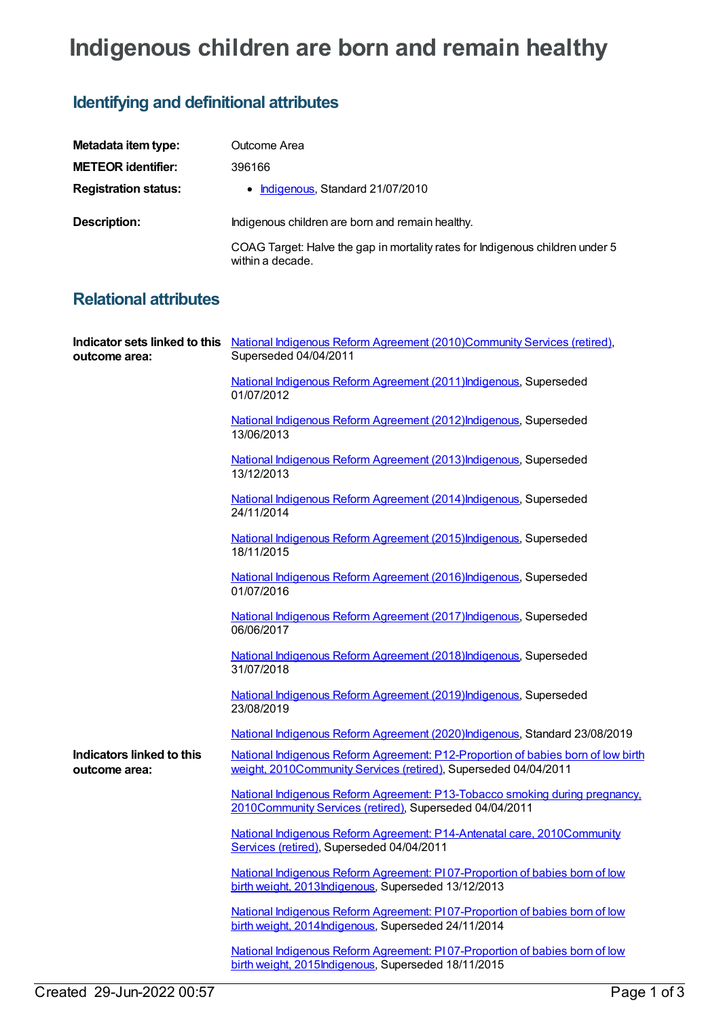## **Indigenous children are born and remain healthy**

## **Identifying and definitional attributes**

| Metadata item type:         | Outcome Area                                                                                      |
|-----------------------------|---------------------------------------------------------------------------------------------------|
| <b>METEOR identifier:</b>   | 396166                                                                                            |
| <b>Registration status:</b> | • Indigenous, Standard 21/07/2010                                                                 |
| Description:                | Indigenous children are born and remain healthy.                                                  |
|                             | COAG Target: Halve the gap in mortality rates for Indigenous children under 5<br>within a decade. |

## **Relational attributes**

| outcome area:                              | Indicator sets linked to this National Indigenous Reform Agreement (2010)Community Services (retired),<br>Superseded 04/04/2011                     |
|--------------------------------------------|-----------------------------------------------------------------------------------------------------------------------------------------------------|
|                                            | National Indigenous Reform Agreement (2011) Indigenous, Superseded<br>01/07/2012                                                                    |
|                                            | National Indigenous Reform Agreement (2012) Indigenous, Superseded<br>13/06/2013                                                                    |
|                                            | National Indigenous Reform Agreement (2013) Indigenous, Superseded<br>13/12/2013                                                                    |
|                                            | National Indigenous Reform Agreement (2014) Indigenous, Superseded<br>24/11/2014                                                                    |
|                                            | National Indigenous Reform Agreement (2015) Indigenous, Superseded<br>18/11/2015                                                                    |
|                                            | National Indigenous Reform Agreement (2016) Indigenous, Superseded<br>01/07/2016                                                                    |
|                                            | National Indigenous Reform Agreement (2017) Indigenous, Superseded<br>06/06/2017                                                                    |
|                                            | National Indigenous Reform Agreement (2018) Indigenous, Superseded<br>31/07/2018                                                                    |
|                                            | National Indigenous Reform Agreement (2019) Indigenous, Superseded<br>23/08/2019                                                                    |
|                                            | National Indigenous Reform Agreement (2020)Indigenous, Standard 23/08/2019                                                                          |
| Indicators linked to this<br>outcome area: | National Indigenous Reform Agreement: P12-Proportion of babies born of low birth<br>weight, 2010Community Services (retired), Superseded 04/04/2011 |
|                                            | National Indigenous Reform Agreement: P13-Tobacco smoking during pregnancy,<br>2010Community Services (retired), Superseded 04/04/2011              |
|                                            | National Indigenous Reform Agreement: P14-Antenatal care, 2010Community<br>Services (retired), Superseded 04/04/2011                                |
|                                            | National Indigenous Reform Agreement: PI07-Proportion of babies born of low<br>birth weight, 2013Indigenous, Superseded 13/12/2013                  |
|                                            | National Indigenous Reform Agreement: PI07-Proportion of babies born of low<br>birth weight, 2014 Indigenous, Superseded 24/11/2014                 |
|                                            | National Indigenous Reform Agreement: PI07-Proportion of babies born of low<br>birth weight, 2015 Indigenous, Superseded 18/11/2015                 |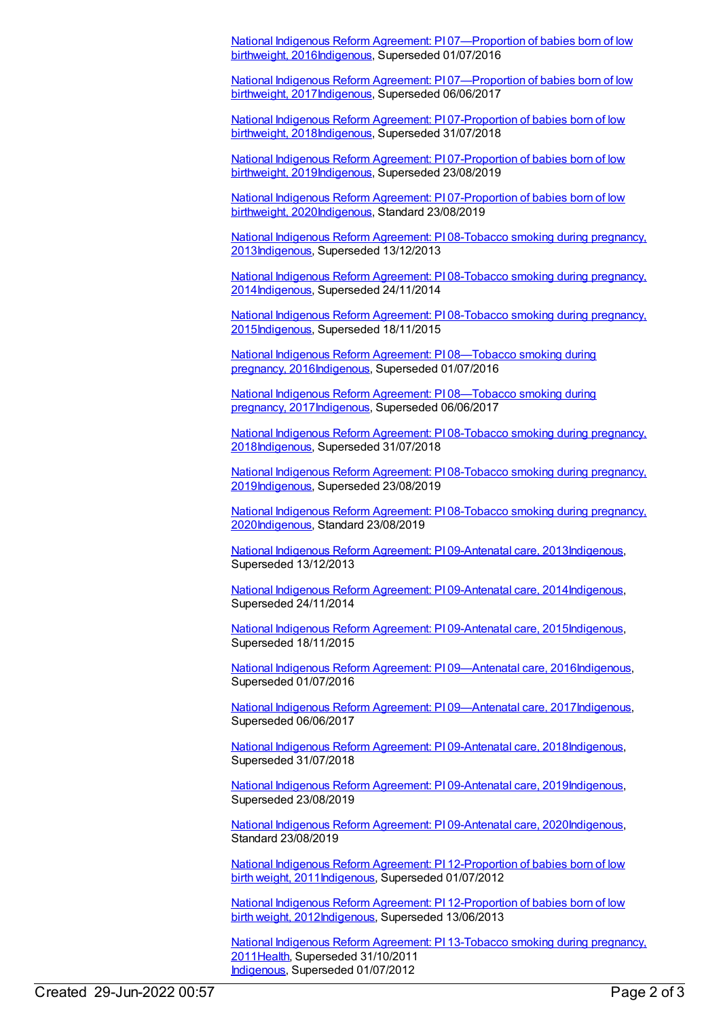National Indigenous Reform Agreement: PI [07—Proportion](https://meteor.aihw.gov.au/content/611176) of babies born of low birthweight, 201[6Indigenous,](https://meteor.aihw.gov.au/RegistrationAuthority/6) Superseded 01/07/2016

National Indigenous Reform Agreement: PI [07—Proportion](https://meteor.aihw.gov.au/content/645396) of babies born of low birthweight, 201[7Indigenous,](https://meteor.aihw.gov.au/RegistrationAuthority/6) Superseded 06/06/2017

National Indigenous Reform Agreement: PI 07-Proportion of babies born of low birthweight, [2018Indigenous,](https://meteor.aihw.gov.au/content/668674) Superseded 31/07/2018

National Indigenous Reform Agreement: PI 07-Proportion of babies born of low birthweight, [2019Indigenous,](https://meteor.aihw.gov.au/content/699454) Superseded 23/08/2019

National Indigenous Reform Agreement: PI [07-Proportion](https://meteor.aihw.gov.au/content/718484) of babies born of low birthweight, 202[0Indigenous,](https://meteor.aihw.gov.au/RegistrationAuthority/6) Standard 23/08/2019

National Indigenous Reform Agreement: PI 08-Tobacco smoking during pregnancy, [2013Indigenous,](https://meteor.aihw.gov.au/content/484309) Superseded 13/12/2013

National Indigenous Reform Agreement: PI 08-Tobacco smoking during pregnancy, [2014Indigenous,](https://meteor.aihw.gov.au/content/525835) Superseded 24/11/2014

National Indigenous Reform Agreement: PI 08-Tobacco smoking during pregnancy, [2015Indigenous,](https://meteor.aihw.gov.au/content/579078) Superseded 18/11/2015

National Indigenous Reform Agreement: PI 08—Tobacco smoking during pregnancy, [2016Indigenous,](https://meteor.aihw.gov.au/content/611180) Superseded 01/07/2016

National Indigenous Reform Agreement: PI [08—Tobacco](https://meteor.aihw.gov.au/content/645398) smoking during pregnancy, 201[7Indigenous](https://meteor.aihw.gov.au/RegistrationAuthority/6), Superseded 06/06/2017

National Indigenous Reform Agreement: PI 08-Tobacco smoking during pregnancy, [2018Indigenous,](https://meteor.aihw.gov.au/content/668672) Superseded 31/07/2018

National Indigenous Reform Agreement: PI 08-Tobacco smoking during pregnancy, [2019Indigenous,](https://meteor.aihw.gov.au/content/699456) Superseded 23/08/2019

National Indigenous Reform Agreement: PI 08-Tobacco smoking during pregnancy, [2020Indigenous,](https://meteor.aihw.gov.au/content/718486) Standard 23/08/2019

National Indigenous Reform Agreement: PI [09-Antenatal](https://meteor.aihw.gov.au/content/484317) care, 201[3Indigenous](https://meteor.aihw.gov.au/RegistrationAuthority/6), Superseded 13/12/2013

National Indigenous Reform Agreement: PI [09-Antenatal](https://meteor.aihw.gov.au/content/525833) care, 201[4Indigenous](https://meteor.aihw.gov.au/RegistrationAuthority/6), Superseded 24/11/2014

National Indigenous Reform Agreement: PI [09-Antenatal](https://meteor.aihw.gov.au/content/579080) care, 201[5Indigenous](https://meteor.aihw.gov.au/RegistrationAuthority/6), Superseded 18/11/2015

National Indigenous Reform Agreement: PI 09-Antenatal care, 201[6Indigenous](https://meteor.aihw.gov.au/RegistrationAuthority/6), Superseded 01/07/2016

National Indigenous Reform Agreement: PI [09—Antenatal](https://meteor.aihw.gov.au/content/645400) care, 201[7Indigenous](https://meteor.aihw.gov.au/RegistrationAuthority/6), Superseded 06/06/2017

National Indigenous Reform Agreement: PI [09-Antenatal](https://meteor.aihw.gov.au/content/668683) care, 201[8Indigenous](https://meteor.aihw.gov.au/RegistrationAuthority/6), Superseded 31/07/2018

National Indigenous Reform Agreement: PI [09-Antenatal](https://meteor.aihw.gov.au/content/699458) care, 201[9Indigenous](https://meteor.aihw.gov.au/RegistrationAuthority/6), Superseded 23/08/2019

National Indigenous Reform Agreement: PI [09-Antenatal](https://meteor.aihw.gov.au/content/718488) care, 202[0Indigenous](https://meteor.aihw.gov.au/RegistrationAuthority/6), Standard 23/08/2019

National Indigenous Reform Agreement: PI [12-Proportion](https://meteor.aihw.gov.au/content/425771) of babies born of low birth weight, 2011[Indigenous,](https://meteor.aihw.gov.au/RegistrationAuthority/6) Superseded 01/07/2012

National Indigenous Reform Agreement: PI 12-Proportion of babies born of low birth weight, [2012Indigenous,](https://meteor.aihw.gov.au/content/438630) Superseded 13/06/2013

National Indigenous Reform Agreement: PI [13-Tobacco](https://meteor.aihw.gov.au/content/425773) smoking during pregnancy, 201[1Health](https://meteor.aihw.gov.au/RegistrationAuthority/12), Superseded 31/10/2011 [Indigenous](https://meteor.aihw.gov.au/RegistrationAuthority/6), Superseded 01/07/2012